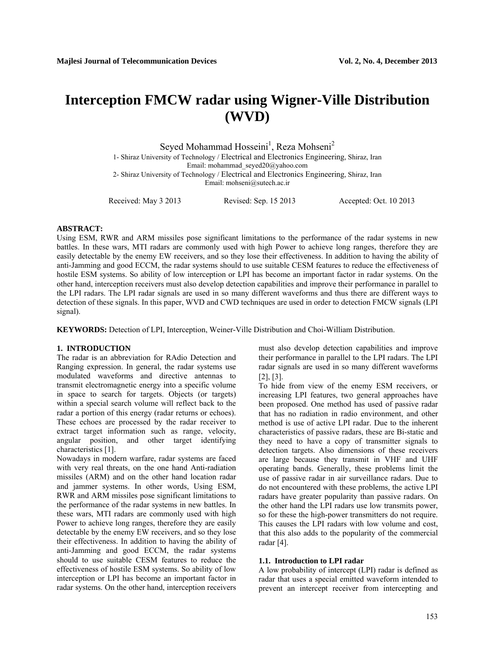# **Interception FMCW radar using Wigner-Ville Distribution (WVD)**

Seyed Mohammad Hosseini<sup>1</sup>, Reza Mohseni<sup>2</sup>

 1- Shiraz University of Technology / Electrical and Electronics Engineering, Shiraz, Iran Email: mohammad\_seyed20@yahoo.com 2- Shiraz University of Technology / Electrical and Electronics Engineering, Shiraz, Iran Email: mohseni@sutech.ac.ir

Received: May 3 2013 Revised: Sep. 15 2013 Accepted: Oct. 10 2013

# **ABSTRACT:**

Using ESM, RWR and ARM missiles pose significant limitations to the performance of the radar systems in new battles. In these wars, MTI radars are commonly used with high Power to achieve long ranges, therefore they are easily detectable by the enemy EW receivers, and so they lose their effectiveness. In addition to having the ability of anti-Jamming and good ECCM, the radar systems should to use suitable CESM features to reduce the effectiveness of hostile ESM systems. So ability of low interception or LPI has become an important factor in radar systems. On the other hand, interception receivers must also develop detection capabilities and improve their performance in parallel to the LPI radars. The LPI radar signals are used in so many different waveforms and thus there are different ways to detection of these signals. In this paper, WVD and CWD techniques are used in order to detection FMCW signals (LPI signal).

**KEYWORDS:** Detection of LPI, Interception, Weiner-Ville Distribution and Choi-William Distribution.

# **1. INTRODUCTION**

The radar is an abbreviation for RAdio Detection and Ranging expression. In general, the radar systems use modulated waveforms and directive antennas to transmit electromagnetic energy into a specific volume in space to search for targets. Objects (or targets) within a special search volume will reflect back to the radar a portion of this energy (radar returns or echoes). These echoes are processed by the radar receiver to extract target information such as range, velocity, angular position, and other target identifying characteristics [1].

Nowadays in modern warfare, radar systems are faced with very real threats, on the one hand Anti-radiation missiles (ARM) and on the other hand location radar and jammer systems. In other words, Using ESM, RWR and ARM missiles pose significant limitations to the performance of the radar systems in new battles. In these wars, MTI radars are commonly used with high Power to achieve long ranges, therefore they are easily detectable by the enemy EW receivers, and so they lose their effectiveness. In addition to having the ability of anti-Jamming and good ECCM, the radar systems should to use suitable CESM features to reduce the effectiveness of hostile ESM systems. So ability of low interception or LPI has become an important factor in radar systems. On the other hand, interception receivers must also develop detection capabilities and improve their performance in parallel to the LPI radars. The LPI radar signals are used in so many different waveforms [2], [3].

To hide from view of the enemy ESM receivers, or increasing LPI features, two general approaches have been proposed. One method has used of passive radar that has no radiation in radio environment, and other method is use of active LPI radar. Due to the inherent characteristics of passive radars, these are Bi-static and they need to have a copy of transmitter signals to detection targets. Also dimensions of these receivers are large because they transmit in VHF and UHF operating bands. Generally, these problems limit the use of passive radar in air surveillance radars. Due to do not encountered with these problems, the active LPI radars have greater popularity than passive radars. On the other hand the LPI radars use low transmits power, so for these the high-power transmitters do not require. This causes the LPI radars with low volume and cost, that this also adds to the popularity of the commercial radar [4].

### **1.1. Introduction to LPI radar**

A low probability of intercept (LPI) radar is defined as radar that uses a special emitted waveform intended to prevent an intercept receiver from intercepting and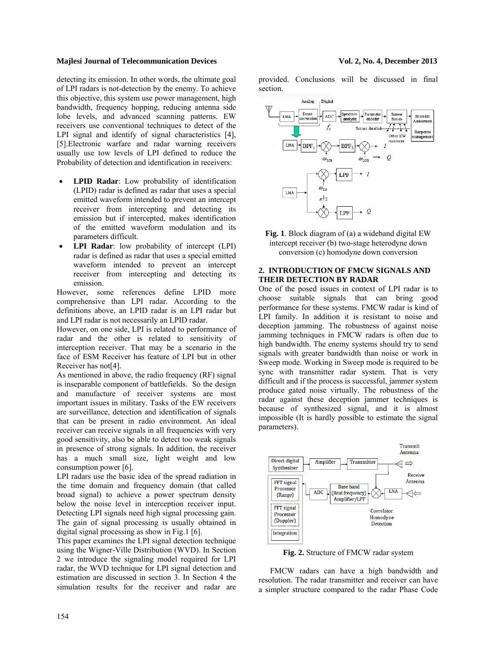detecting its emission. In other words, the ultimate goal of LPI radars is not-detection by the enemy. To achieve this objective, this system use power management, high bandwidth, frequency hopping, reducing antenna side lobe levels, and advanced scanning patterns. EW receivers use conventional techniques to detect of the LPI signal and identify of signal characteristics [4], [5].Electronic warfare and radar warning receivers usually use tow levels of LPI defined to reduce the Probability of detection and identification in receivers:

- **LPID Radar**: Low probability of identification (LPID) radar is defined as radar that uses a special emitted waveform intended to prevent an intercept receiver from intercepting and detecting its emission but if intercepted, makes identification of the emitted waveform modulation and its parameters difficult.
- **LPI Radar**: low probability of intercept (LPI) radar is defined as radar that uses a special emitted waveform intended to prevent an intercept receiver from intercepting and detecting its emission.

However, some references define LPID more comprehensive than LPI radar. According to the definitions above, an LPID radar is an LPI radar but and LPI radar is not necessarily an LPID radar.

However, on one side, LPI is related to performance of radar and the other is related to sensitivity of interception receiver. That may be a scenario in the face of ESM Receiver has feature of LPI but in other Receiver has not[4].

As mentioned in above, the radio frequency (RF) signal is inseparable component of battlefields. So the design and manufacture of receiver systems are most important issues in military. Tasks of the EW receivers are surveillance, detection and identification of signals that can be present in radio environment. An ideal receiver can receive signals in all frequencies with very good sensitivity, also be able to detect too weak signals in presence of strong signals. In addition, the receiver has a much small size, light weight and low consumption power [6].

LPI radars use the basic idea of the spread radiation in the time domain and frequency domain (that called broad signal) to achieve a power spectrum density below the noise level in interception receiver input. Detecting LPI signals need high signal processing gain. The gain of signal processing is usually obtained in digital signal processing as show in Fig.1 [6].

This paper examines the LPI signal detection technique using the Wigner-Ville Distribution (WVD). In Section 2 we introduce the signaling model required for LPI radar, the WVD technique for LPI signal detection and estimation are discussed in section 3. In Section 4 the simulation results for the receiver and radar are provided. Conclusions will be discussed in final section.



**Fig. 1**. Block diagram of (a) a wideband digital EW intercept receiver (b) two-stage heterodyne down conversion (c) homodyne down conversion

# **2. INTRODUCTION OF FMCW SIGNALS AND THEIR DETECTION BY RADAR**

One of the posed issues in context of LPI radar is to choose suitable signals that can bring good performance for these systems. FMCW radar is kind of LPI family. In addition it is resistant to noise and deception jamming. The robustness of against noise jamming techniques in FMCW radars is often due to high bandwidth. The enemy systems should try to send signals with greater bandwidth than noise or work in Sweep mode. Working in Sweep mode is required to be sync with transmitter radar system. That is very difficult and if the process is successful, jammer system produce gated noise virtually. The robustness of the radar against these deception jammer techniques is because of synthesized signal, and it is almost impossible (It is hardly possible to estimate the signal parameters).



**Fig. 2.** Structure of FMCW radar system

FMCW radars can have a high bandwidth and resolution. The radar transmitter and receiver can have a simpler structure compared to the radar Phase Code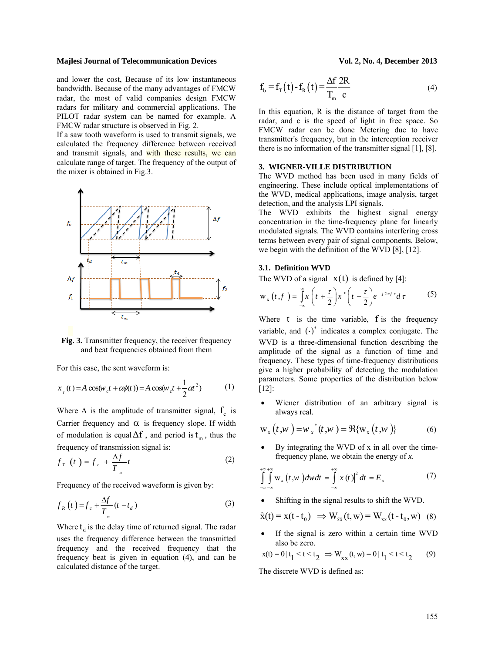### **Majlesi Journal of Telecommunication Devices**

and lower the cost, Because of its low instantaneous bandwidth. Because of the many advantages of FMCW radar, the most of valid companies design FMCW radars for military and commercial applications. The PILOT radar system can be named for example. A FMCW radar structure is observed in Fig. 2.

If a saw tooth waveform is used to transmit signals, we calculated the frequency difference between received and transmit signals, and with these results, we can calculate range of target. The frequency of the output of the mixer is obtained in Fig.3.





For this case, the sent waveform is:

$$
x_{T}(t) = A\cos(w_{c}t + \alpha\phi(t)) = A\cos(w_{c}t + \frac{1}{2}\alpha t^{2})
$$
 (1)

Where A is the amplitude of transmitter signal,  $f_c$  is Carrier frequency and  $\alpha$  is frequency slope. If width of modulation is equal  $\Delta f$ , and period is  $t_m$ , thus the frequency of transmission signal is:

$$
f_T\left(t\right) = f_c + \frac{\Delta f}{T_{m}}t\tag{2}
$$

Frequency of the received waveform is given by:

$$
f_R(t) = f_c + \frac{\Delta f}{T_m}(t - t_d)
$$
 (3)

Where  $t_d$  is the delay time of returned signal. The radar uses the frequency difference between the transmitted frequency and the received frequency that the frequency beat is given in equation (4), and can be calculated distance of the target.

$$
f_b = f_T(t) - f_R(t) = \frac{\Delta f}{T_m} \frac{2R}{c}
$$
 (4)

In this equation, R is the distance of target from the radar, and c is the speed of light in free space. So FMCW radar can be done Metering due to have transmitter's frequency, but in the interception receiver there is no information of the transmitter signal [1], [8].

# **3. WIGNER-VILLE DISTRIBUTION**

The WVD method has been used in many fields of engineering. These include optical implementations of the WVD, medical applications, image analysis, target detection, and the analysis LPI signals.

The WVD exhibits the highest signal energy concentration in the time-frequency plane for linearly modulated signals. The WVD contains interfering cross terms between every pair of signal components. Below, we begin with the definition of the WVD [8], [12].

# **3.1. Definition WVD**

The WVD of a signal  $x(t)$  is defined by [4]:

$$
w_x(t,f) = \int_{-\infty}^{\infty} x\left(t + \frac{\tau}{2}\right) x^* \left(t - \frac{\tau}{2}\right) e^{-j2\pi f \tau} d\tau
$$
 (5)

Where  $t$  is the time variable,  $f$  is the frequency variable, and  $\left(\cdot\right)^*$  indicates a complex conjugate. The WVD is a three-dimensional function describing the amplitude of the signal as a function of time and frequency. These types of time-frequency distributions give a higher probability of detecting the modulation parameters. Some properties of the distribution below [12]:

• Wiener distribution of an arbitrary signal is always real.

$$
W_x(t, w) = w_x^*(t, w) = \Re{w_x(t, w)}
$$
 (6)

• By integrating the WVD of x in all over the timefrequency plane, we obtain the energy of *x*.

$$
\int_{-\infty}^{+\infty} \int_{-\infty}^{+\infty} w_x(t, w) dw dt = \int_{-\infty}^{+\infty} |x(t)|^2 dt = E_x
$$
 (7)

• Shifting in the signal results to shift the WVD.

$$
\tilde{\mathbf{x}}(t) = \mathbf{x}(t - t_0) \implies \mathbf{W}_{\tilde{\mathbf{x}}\tilde{\mathbf{x}}}(t, \mathbf{w}) = \mathbf{W}_{\mathbf{x}\mathbf{x}}(t - t_0, \mathbf{w}) \quad (8)
$$

If the signal is zero within a certain time WVD also be zero.

$$
x(t) = 0 | t_1 < t < t_2 \implies W_{xx}(t, w) = 0 | t_1 < t < t_2 \tag{9}
$$

The discrete WVD is defined as: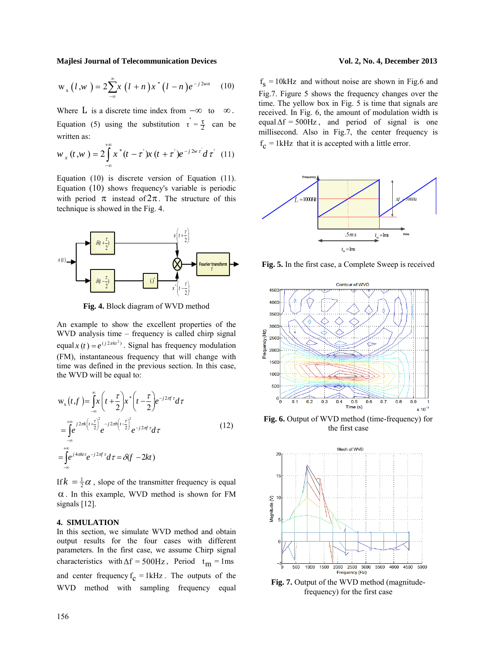$$
w_x(l,w) = 2\sum_{-\infty}^{\infty} x(l+n)x^{*}(l-n)e^{-j2wn}
$$
 (10)

Where L is a discrete time index from  $-\infty$  to  $\infty$ . Equation (5) using the substitution  $\tau = \frac{\tau}{2}$  can be written as:

$$
w_{x}(t, w) = 2 \int_{-\infty}^{+\infty} x^{*}(t - \tau^{2}) x(t + \tau^{2}) e^{-j2\pi \tau^{2}} d\tau^{2}
$$
 (11)

Equation (10) is discrete version of Equation (11). Equation (10) shows frequency's variable is periodic with period  $\pi$  instead of  $2\pi$ . The structure of this technique is showed in the Fig. 4.



**Fig. 4.** Block diagram of WVD method

An example to show the excellent properties of the WVD analysis time – frequency is called chirp signal equal  $x(t) = e^{(j2\pi kt^2)}$ . Signal has frequency modulation (FM), instantaneous frequency that will change with time was defined in the previous section. In this case, the WVD will be equal to:

$$
w_x(t, f) = \int_{-\infty}^{\infty} x\left(t + \frac{\tau}{2}\right) x^* \left(t - \frac{\tau}{2}\right) e^{-j2\pi f \tau} d\tau
$$
  
\n
$$
= \int_{-\infty}^{+\infty} e^{-j2\pi k \left(t + \frac{\tau}{2}\right)^2} e^{-j2\pi h \left(t - \frac{\tau}{2}\right)^2} e^{-j2\pi f \tau} d\tau
$$
  
\n
$$
= \int_{-\infty}^{+\infty} e^{j4\pi k t \tau} e^{-j2\pi f \tau} d\tau = \delta(f - 2kt)
$$
  
\n(12)

If  $k = \frac{1}{2}\alpha$ , slope of the transmitter frequency is equal α. In this example, WVD method is shown for FM signals [12].

# **4. SIMULATION**

In this section, we simulate WVD method and obtain output results for the four cases with different parameters. In the first case, we assume Chirp signal characteristics with  $\Delta f = 500$ Hz, Period  $t_m = 1$ ms and center frequency  $f_c = 1kHz$ . The outputs of the WVD method with sampling frequency equal

 $f<sub>S</sub> = 10kHz$  and without noise are shown in Fig.6 and Fig.7. Figure 5 shows the frequency changes over the time. The yellow box in Fig. 5 is time that signals are received. In Fig. 6, the amount of modulation width is equal  $\Delta f = 500$ Hz, and period of signal is one millisecond. Also in Fig.7, the center frequency is  $f_c = 1$ kHz that it is accepted with a little error.



**Fig. 5.** In the first case, a Complete Sweep is received



**Fig. 6.** Output of WVD method (time-frequency) for the first case



**Fig. 7.** Output of the WVD method (magnitudefrequency) for the first case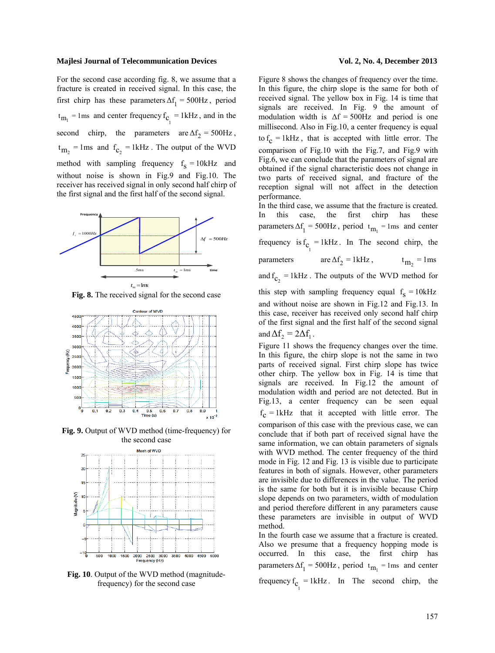For the second case according fig. 8, we assume that a fracture is created in received signal. In this case, the first chirp has these parameters  $\Delta f_1 = 500$ Hz, period  $t_{m_1}$  = 1ms and center frequency  $f_{C_1}$  = 1kHz, and in the second chirp, the parameters are  $\Delta f_2 = 500$ Hz,  $t_{\rm m_2}$  = 1ms and  $f_{\rm c_2}$  = 1kHz. The output of the WVD method with sampling frequency  $f_s = 10kHz$  and without noise is shown in Fig.9 and Fig.10. The receiver has received signal in only second half chirp of the first signal and the first half of the second signal.



**Fig. 8.** The received signal for the second case



**Fig. 9.** Output of WVD method (time-frequency) for the second case



**Fig. 10**. Output of the WVD method (magnitudefrequency) for the second case

Figure 8 shows the changes of frequency over the time. In this figure, the chirp slope is the same for both of received signal. The yellow box in Fig. 14 is time that signals are received. In Fig. 9 the amount of modulation width is  $\Delta f = 500$ Hz and period is one millisecond. Also in Fig.10, a center frequency is equal to  $f_c = 1$  kHz, that is accepted with little error. The comparison of Fig.10 with the Fig.7, and Fig.9 with Fig.6, we can conclude that the parameters of signal are obtained if the signal characteristic does not change in two parts of received signal, and fracture of the reception signal will not affect in the detection performance.

In the third case, we assume that the fracture is created. In this case, the first chirp has these parameters  $\Delta f_1 = 500$ Hz, period  $t_{m_1} = 1$ ms and center frequency is  $f_{C_1} = 1kHz$ . In The second chirp, the parameters are  $\Delta f_2 = 1 \text{ kHz}$ ,  $t_{\text{m}_2} = 1 \text{ ms}$ and  $f_{\text{c}_2}$  = 1kHz. The outputs of the WVD method for this step with sampling frequency equal  $f_s = 10kHz$ and without noise are shown in Fig.12 and Fig.13. In this case, receiver has received only second half chirp of the first signal and the first half of the second signal and  $\Delta f$ , =  $2\Delta f$ <sub>1</sub>.

Figure 11 shows the frequency changes over the time. In this figure, the chirp slope is not the same in two parts of received signal. First chirp slope has twice other chirp. The yellow box in Fig. 14 is time that signals are received. In Fig.12 the amount of modulation width and period are not detected. But in Fig.13, a center frequency can be seen equal  $f_c = 1kHz$  that it accepted with little error. The comparison of this case with the previous case, we can conclude that if both part of received signal have the same information, we can obtain parameters of signals with WVD method. The center frequency of the third mode in Fig. 12 and Fig. 13 is visible due to participate features in both of signals. However, other parameters are invisible due to differences in the value. The period is the same for both but it is invisible because Chirp slope depends on two parameters, width of modulation and period therefore different in any parameters cause these parameters are invisible in output of WVD method.

In the fourth case we assume that a fracture is created. Also we presume that a frequency hopping mode is occurred. In this case, the first chirp has parameters  $\Delta f_1 = 500$ Hz, period  $t_{m_1} = 1$ ms and center frequency  $f_{C_1} = 1kHz$ . In The second chirp, the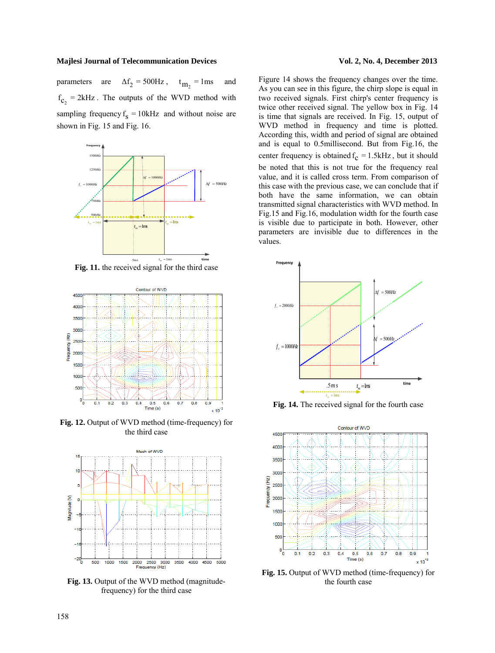parameters are  $\Delta f_2 = 500$ Hz,  $t_{\text{m}_2} = 1$ ms and  $f_{C_2}$  = 2kHz. The outputs of the WVD method with sampling frequency  $f_s = 10kHz$  and without noise are shown in Fig. 15 and Fig. 16.



**Fig. 11.** the received signal for the third case



**Fig. 12.** Output of WVD method (time-frequency) for the third case



**Fig. 13.** Output of the WVD method (magnitudefrequency) for the third case

Figure 14 shows the frequency changes over the time. As you can see in this figure, the chirp slope is equal in two received signals. First chirp's center frequency is twice other received signal. The yellow box in Fig. 14 is time that signals are received. In Fig. 15, output of WVD method in frequency and time is plotted. According this, width and period of signal are obtained and is equal to 0.5millisecond. But from Fig.16, the center frequency is obtained  $f_c = 1.5kHz$ , but it should be noted that this is not true for the frequency real value, and it is called cross term. From comparison of this case with the previous case, we can conclude that if both have the same information, we can obtain transmitted signal characteristics with WVD method. In Fig.15 and Fig.16, modulation width for the fourth case is visible due to participate in both. However, other parameters are invisible due to differences in the values.



**Fig. 14.** The received signal for the fourth case



**Fig. 15.** Output of WVD method (time-frequency) for the fourth case